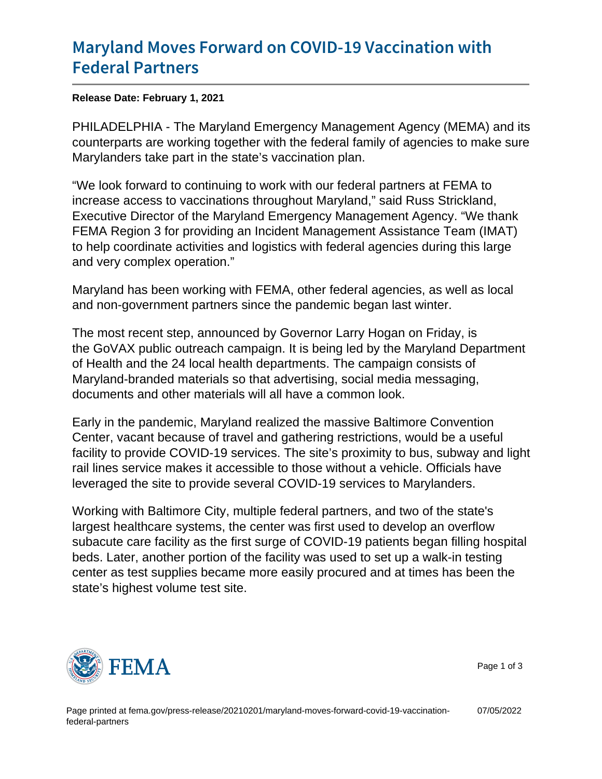## [Maryland Moves Forward on COVI](https://www.fema.gov/press-release/20210201/maryland-moves-forward-covid-19-vaccination-federal-partners)D-19 Vac [Federal Pa](https://www.fema.gov/press-release/20210201/maryland-moves-forward-covid-19-vaccination-federal-partners)rtners

Release Date: February 1, 2021

PHILADELPHIA - The Maryland Emergency Management Agency (MEMA) and its counterparts are working together with the federal family of agencies to make sure Marylanders take part in the state's vaccination plan.

"We look forward to continuing to work with our federal partners at FEMA to increase access to vaccinations throughout Maryland," said Russ Strickland, Executive Director of the Maryland Emergency Management Agency. "We thank FEMA Region 3 for providing an Incident Management Assistance Team (IMAT) to help coordinate activities and logistics with federal agencies during this large and very complex operation."

Maryland has been working with FEMA, other federal agencies, as well as local and non-government partners since the pandemic began last winter.

The most recent step, announced by Governor Larry Hogan on Friday, is the GoVAX public outreach campaign. It is being led by the Maryland Department of Health and the 24 local health departments. The campaign consists of Maryland-branded materials so that advertising, social media messaging, documents and other materials will all have a common look.

Early in the pandemic, Maryland realized the massive Baltimore Convention Center, vacant because of travel and gathering restrictions, would be a useful facility to provide COVID-19 services. The site's proximity to bus, subway and light rail lines service makes it accessible to those without a vehicle. Officials have leveraged the site to provide several COVID-19 services to Marylanders.

Working with Baltimore City, multiple federal partners, and two of the state's largest healthcare systems, the center was first used to develop an overflow subacute care facility as the first surge of COVID-19 patients began filling hospital beds. Later, another portion of the facility was used to set up a walk-in testing center as test supplies became more easily procured and at times has been the state's highest volume test site.



Page 1 of 3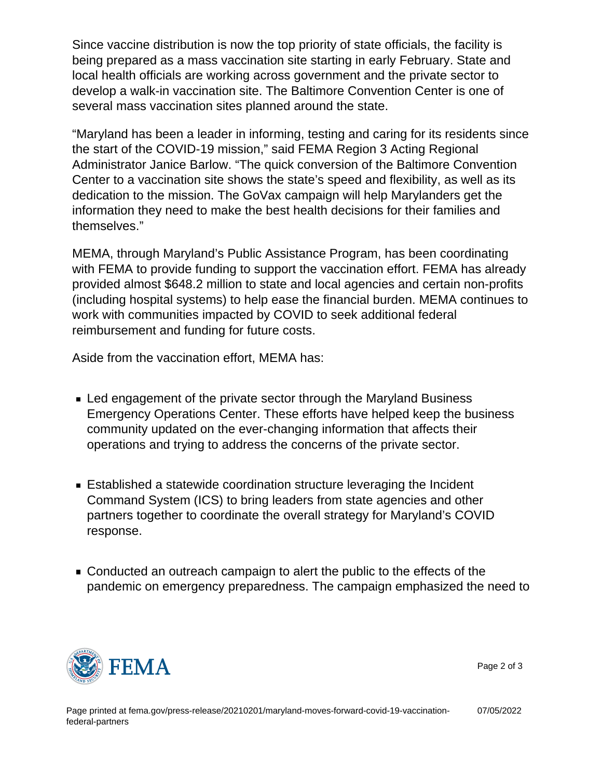Since vaccine distribution is now the top priority of state officials, the facility is being prepared as a mass vaccination site starting in early February. State and local health officials are working across government and the private sector to develop a walk-in vaccination site. The Baltimore Convention Center is one of several mass vaccination sites planned around the state.

"Maryland has been a leader in informing, testing and caring for its residents since the start of the COVID-19 mission," said FEMA Region 3 Acting Regional Administrator Janice Barlow. "The quick conversion of the Baltimore Convention Center to a vaccination site shows the state's speed and flexibility, as well as its dedication to the mission. The GoVax campaign will help Marylanders get the information they need to make the best health decisions for their families and themselves."

MEMA, through Maryland's Public Assistance Program, has been coordinating with FEMA to provide funding to support the vaccination effort. FEMA has already provided almost \$648.2 million to state and local agencies and certain non-profits (including hospital systems) to help ease the financial burden. MEMA continues to work with communities impacted by COVID to seek additional federal reimbursement and funding for future costs.

Aside from the vaccination effort, MEMA has:

- Led engagement of the private sector through the Maryland Business Emergency Operations Center. These efforts have helped keep the business community updated on the ever-changing information that affects their operations and trying to address the concerns of the private sector.
- Established a statewide coordination structure leveraging the Incident Command System (ICS) to bring leaders from state agencies and other partners together to coordinate the overall strategy for Maryland's COVID response.
- Conducted an outreach campaign to alert the public to the effects of the pandemic on emergency preparedness. The campaign emphasized the need to



Page 2 of 3